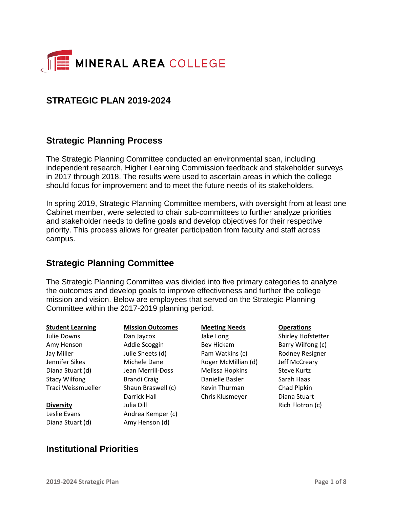

## **STRATEGIC PLAN 2019-2024**

## **Strategic Planning Process**

The Strategic Planning Committee conducted an environmental scan, including independent research, Higher Learning Commission feedback and stakeholder surveys in 2017 through 2018. The results were used to ascertain areas in which the college should focus for improvement and to meet the future needs of its stakeholders.

In spring 2019, Strategic Planning Committee members, with oversight from at least one Cabinet member, were selected to chair sub-committees to further analyze priorities and stakeholder needs to define goals and develop objectives for their respective priority. This process allows for greater participation from faculty and staff across campus.

### **Strategic Planning Committee**

The Strategic Planning Committee was divided into five primary categories to analyze the outcomes and develop goals to improve effectiveness and further the college mission and vision. Below are employees that served on the Strategic Planning Committee within the 2017-2019 planning period.

| <b>Student Learning</b> | <b>Mission Outcomes</b> | <b>Meeting Needs</b> | <b>Operations</b>      |
|-------------------------|-------------------------|----------------------|------------------------|
| Julie Downs             | Dan Jaycox              | Jake Long            | Shirley Hofstetter     |
| Amy Henson              | Addie Scoggin           | Bev Hickam           | Barry Wilfong (c)      |
| Jay Miller              | Julie Sheets (d)        | Pam Watkins (c)      | <b>Rodney Resigner</b> |
| Jennifer Sikes          | Michele Dane            | Roger McMillian (d)  | Jeff McCreary          |
| Diana Stuart (d)        | Jean Merrill-Doss       | Melissa Hopkins      | <b>Steve Kurtz</b>     |
| <b>Stacy Wilfong</b>    | Brandi Craig            | Danielle Basler      | Sarah Haas             |
| Traci Weissmueller      | Shaun Braswell (c)      | Kevin Thurman        | Chad Pipkin            |
|                         | Darrick Hall            | Chris Klusmeyer      | Diana Stuart           |
| <b>Diversity</b>        | Julia Dill              |                      | Rich Flotron (c)       |
| Leslie Evans            | Andrea Kemper (c)       |                      |                        |
| Diana Stuart (d)        | Amy Henson (d)          |                      |                        |

## **Institutional Priorities**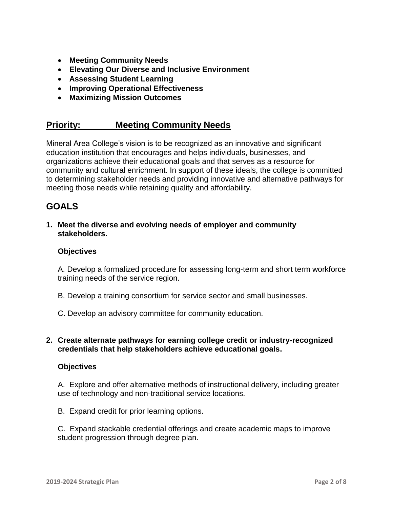- **Meeting Community Needs**
- **Elevating Our Diverse and Inclusive Environment**
- **Assessing Student Learning**
- **Improving Operational Effectiveness**
- **Maximizing Mission Outcomes**

### **Priority: Meeting Community Needs**

Mineral Area College's vision is to be recognized as an innovative and significant education institution that encourages and helps individuals, businesses, and organizations achieve their educational goals and that serves as a resource for community and cultural enrichment. In support of these ideals, the college is committed to determining stakeholder needs and providing innovative and alternative pathways for meeting those needs while retaining quality and affordability.

## **GOALS**

**1. Meet the diverse and evolving needs of employer and community stakeholders.**

#### **Objectives**

A. Develop a formalized procedure for assessing long-term and short term workforce training needs of the service region.

- B. Develop a training consortium for service sector and small businesses.
- C. Develop an advisory committee for community education.
- **2. Create alternate pathways for earning college credit or industry-recognized credentials that help stakeholders achieve educational goals.**

#### **Objectives**

A. Explore and offer alternative methods of instructional delivery, including greater use of technology and non-traditional service locations.

B. Expand credit for prior learning options.

C. Expand stackable credential offerings and create academic maps to improve student progression through degree plan.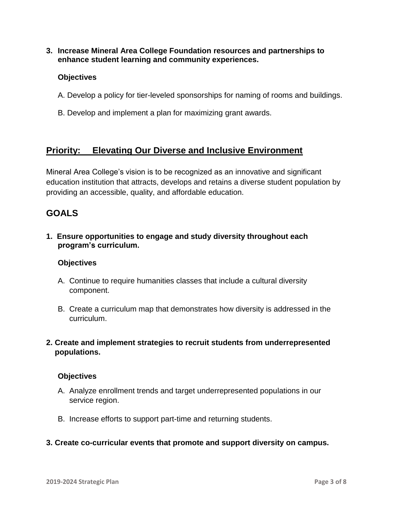**3. Increase Mineral Area College Foundation resources and partnerships to enhance student learning and community experiences.**

#### **Objectives**

- A. Develop a policy for tier-leveled sponsorships for naming of rooms and buildings.
- B. Develop and implement a plan for maximizing grant awards.

## **Priority: Elevating Our Diverse and Inclusive Environment**

Mineral Area College's vision is to be recognized as an innovative and significant education institution that attracts, develops and retains a diverse student population by providing an accessible, quality, and affordable education.

## **GOALS**

**1. Ensure opportunities to engage and study diversity throughout each program's curriculum.**

#### **Objectives**

- A. Continue to require humanities classes that include a cultural diversity component.
- B. Create a curriculum map that demonstrates how diversity is addressed in the curriculum.
- **2. Create and implement strategies to recruit students from underrepresented populations.**

- A. Analyze enrollment trends and target underrepresented populations in our service region.
- B. Increase efforts to support part-time and returning students.
- **3. Create co-curricular events that promote and support diversity on campus.**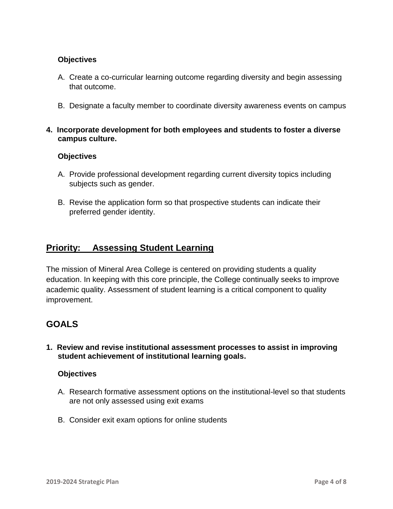### **Objectives**

- A. Create a co-curricular learning outcome regarding diversity and begin assessing that outcome.
- B. Designate a faculty member to coordinate diversity awareness events on campus
- **4. Incorporate development for both employees and students to foster a diverse campus culture.**

### **Objectives**

- A. Provide professional development regarding current diversity topics including subjects such as gender.
- B. Revise the application form so that prospective students can indicate their preferred gender identity.

## **Priority: Assessing Student Learning**

The mission of Mineral Area College is centered on providing students a quality education. In keeping with this core principle, the College continually seeks to improve academic quality. Assessment of student learning is a critical component to quality improvement.

## **GOALS**

**1. Review and revise institutional assessment processes to assist in improving student achievement of institutional learning goals.**

- A. Research formative assessment options on the institutional-level so that students are not only assessed using exit exams
- B. Consider exit exam options for online students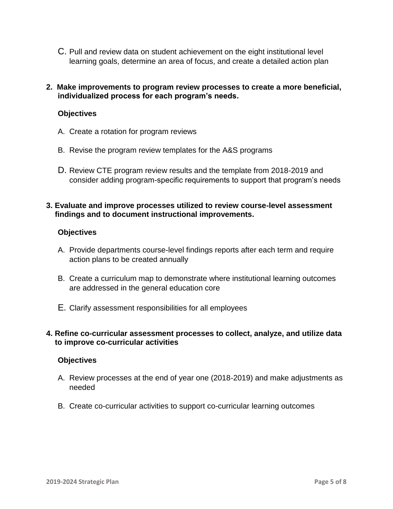- C. Pull and review data on student achievement on the eight institutional level learning goals, determine an area of focus, and create a detailed action plan
- **2. Make improvements to program review processes to create a more beneficial, individualized process for each program's needs.**

### **Objectives**

- A. Create a rotation for program reviews
- B. Revise the program review templates for the A&S programs
- D. Review CTE program review results and the template from 2018-2019 and consider adding program-specific requirements to support that program's needs

#### **3. Evaluate and improve processes utilized to review course-level assessment findings and to document instructional improvements.**

#### **Objectives**

- A. Provide departments course-level findings reports after each term and require action plans to be created annually
- B. Create a curriculum map to demonstrate where institutional learning outcomes are addressed in the general education core
- E. Clarify assessment responsibilities for all employees

#### **4. Refine co-curricular assessment processes to collect, analyze, and utilize data to improve co-curricular activities**

- A. Review processes at the end of year one (2018-2019) and make adjustments as needed
- B. Create co-curricular activities to support co-curricular learning outcomes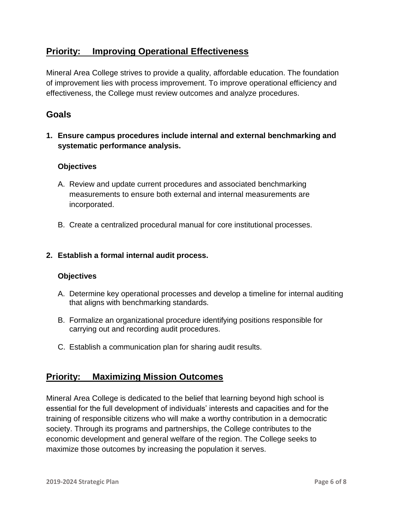## **Priority: Improving Operational Effectiveness**

Mineral Area College strives to provide a quality, affordable education. The foundation of improvement lies with process improvement. To improve operational efficiency and effectiveness, the College must review outcomes and analyze procedures.

## **Goals**

**1. Ensure campus procedures include internal and external benchmarking and systematic performance analysis.**

### **Objectives**

- A. Review and update current procedures and associated benchmarking measurements to ensure both external and internal measurements are incorporated.
- B. Create a centralized procedural manual for core institutional processes.

### **2. Establish a formal internal audit process.**

### **Objectives**

- A. Determine key operational processes and develop a timeline for internal auditing that aligns with benchmarking standards.
- B. Formalize an organizational procedure identifying positions responsible for carrying out and recording audit procedures.
- C. Establish a communication plan for sharing audit results.

## **Priority: Maximizing Mission Outcomes**

Mineral Area College is dedicated to the belief that learning beyond high school is essential for the full development of individuals' interests and capacities and for the training of responsible citizens who will make a worthy contribution in a democratic society. Through its programs and partnerships, the College contributes to the economic development and general welfare of the region. The College seeks to maximize those outcomes by increasing the population it serves.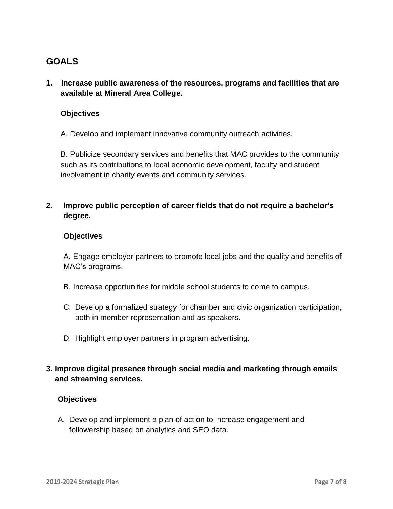# **GOALS**

**1. Increase public awareness of the resources, programs and facilities that are available at Mineral Area College.** 

### **Objectives**

A. Develop and implement innovative community outreach activities.

B. Publicize secondary services and benefits that MAC provides to the community such as its contributions to local economic development, faculty and student involvement in charity events and community services.

**2. Improve public perception of career fields that do not require a bachelor's degree.** 

#### **Objectives**

A. Engage employer partners to promote local jobs and the quality and benefits of MAC's programs.

- B. Increase opportunities for middle school students to come to campus.
- C. Develop a formalized strategy for chamber and civic organization participation, both in member representation and as speakers.
- D. Highlight employer partners in program advertising.

## **3. Improve digital presence through social media and marketing through emails and streaming services.**

### **Objectives**

A. Develop and implement a plan of action to increase engagement and followership based on analytics and SEO data.